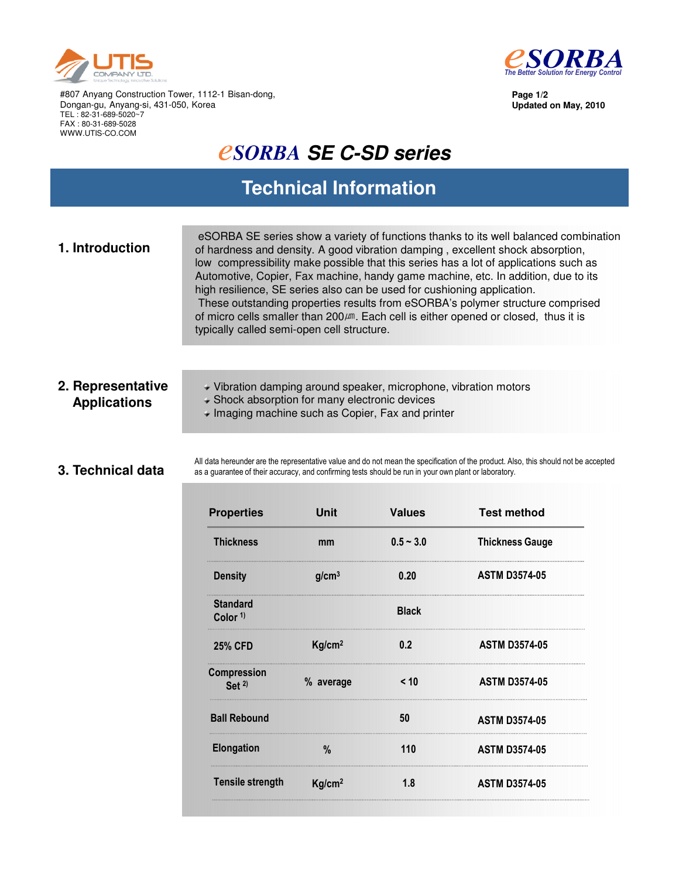



**Updated on May, 2010**

**Page 1/2**

#807 Anyang Construction Tower, 1112-1 Bisan-dong, Dongan-gu, Anyang-si, 431-050, Korea TEL : 82-31-689-5020~7 FAX : 80-31-689-5028 WWW.UTIS-CO.COM

# *<u>CSORBA SE C-SD series</u>*

## **Technical Information**

| 1. Introduction | eSORBA SE series show a variety of functions thanks to its well balanced combination<br>of hardness and density. A good vibration damping, excellent shock absorption,<br>low compressibility make possible that this series has a lot of applications such as<br>Automotive, Copier, Fax machine, handy game machine, etc. In addition, due to its<br>high resilience, SE series also can be used for cushioning application.<br>These outstanding properties results from eSORBA's polymer structure comprised |
|-----------------|------------------------------------------------------------------------------------------------------------------------------------------------------------------------------------------------------------------------------------------------------------------------------------------------------------------------------------------------------------------------------------------------------------------------------------------------------------------------------------------------------------------|
|                 | of micro cells smaller than 200 $\mu$ m. Each cell is either opened or closed, thus it is<br>typically called semi-open cell structure.                                                                                                                                                                                                                                                                                                                                                                          |

### **2. Representative Applications**

Vibration damping around speaker, microphone, vibration motors

- Shock absorption for many electronic devices
- Imaging machine such as Copier, Fax and printer

#### **3. Technical data**

All data hereunder are the representative value and do not mean the specification of the product. Also, this should not be accepted as a guarantee of their accuracy, and confirming tests should be run in your own plant or laboratory.

| <b>Properties</b>                      | <b>Unit</b>        | <b>Values</b> | <b>Test method</b>     |
|----------------------------------------|--------------------|---------------|------------------------|
| <b>Thickness</b>                       | mm                 | $0.5 - 3.0$   | <b>Thickness Gauge</b> |
| <b>Density</b>                         | g/cm <sup>3</sup>  | 0.20          | <b>ASTM D3574-05</b>   |
| <b>Standard</b><br>Color <sup>1)</sup> |                    | <b>Black</b>  |                        |
| <b>25% CFD</b>                         | Kg/cm <sup>2</sup> | 0.2           | <b>ASTM D3574-05</b>   |
| Compression<br>Set $2$                 | % average          | < 10          | <b>ASTM D3574-05</b>   |
| <b>Ball Rebound</b>                    |                    | 50            | <b>ASTM D3574-05</b>   |
| <b>Elongation</b>                      | %                  | 110           | <b>ASTM D3574-05</b>   |
| <b>Tensile strength</b>                | Kg/cm <sup>2</sup> | 1.8           | <b>ASTM D3574-05</b>   |